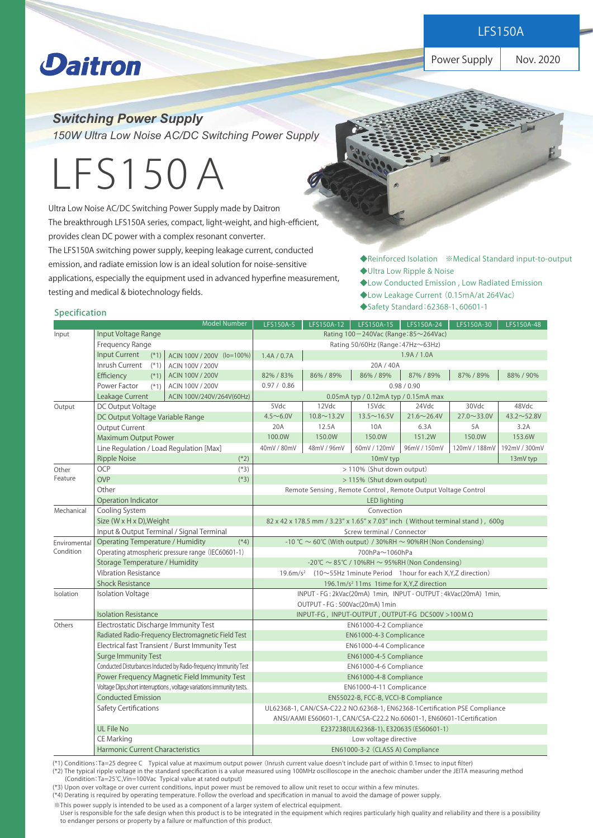**Power Supply Products** 

Power Supply | Nov. 2020

## **Daitron**

*Switching Power Supply* 

*150W Ultra Low Noise AC/DC Switching Power Supply* 

# LFS150A

Ultra Low Noise AC/DC Switching Power Supply made by Daitron The breakthrough LFS150A series, compact, light-weight, and high-efficient, provides clean DC power with a complex resonant converter. The LFS150A switching power supply, keeping leakage current, conducted emission, and radiate emission low is an ideal solution for noise-sensitive applications, especially the equipment used in advanced hyperfine measurement, testing and medical & biotechnology fields.

◆Reinforced Isolation ※Medical Standard input-to-output ◆Ultra Low Ripple & Noise

- ◆Low Conducted Emission , Low Radiated Emission
- ◆Low Leakage Current (0.15mA/at 264Vac)
- ◆Safety Standard:62368-1、60601-1

#### Specification

|                  |                                                                       | <b>Model Number</b>       | LFS150A-5                                                                        | LFS150A-12         | LFS150A-15                           | LFS150A-24         | LFS150A-30         | LFS150A-48        |  |
|------------------|-----------------------------------------------------------------------|---------------------------|----------------------------------------------------------------------------------|--------------------|--------------------------------------|--------------------|--------------------|-------------------|--|
| Input            | Input Voltage Range                                                   |                           | Rating 100-240Vac (Range: 85~264Vac)                                             |                    |                                      |                    |                    |                   |  |
|                  | Frequency Range                                                       |                           | Rating 50/60Hz (Range: 47Hz~63Hz)                                                |                    |                                      |                    |                    |                   |  |
|                  | <b>Input Current</b><br>$(*1)$<br>ACIN 100V / 200V (lo=100%)          |                           | 1.9A / 1.0A<br>1.4A / 0.7A                                                       |                    |                                      |                    |                    |                   |  |
|                  | Inrush Current<br>$(*1)$                                              | ACIN 100V / 200V          |                                                                                  |                    | 20A / 40A                            |                    |                    |                   |  |
|                  | Efficiency<br>$(*1)$                                                  | ACIN 100V / 200V          | 82%/83%                                                                          | 86% / 89%          | 86% / 89%                            | 87% / 89%          | 87% / 89%          | 88% / 90%         |  |
|                  | Power Factor<br>$(*1)$                                                | ACIN 100V / 200V          | 0.97 / 0.86                                                                      |                    |                                      | 0.98 / 0.90        |                    |                   |  |
|                  | Leakage Current                                                       | ACIN 100V/240V/264V(60Hz) |                                                                                  |                    | 0.05mA typ / 0.12mA typ / 0.15mA max |                    |                    |                   |  |
| Output           | DC Output Voltage                                                     |                           | 5Vdc                                                                             | 12Vdc              | 15Vdc                                | 24Vdc              | 30Vdc              | 48Vdc             |  |
|                  | DC Output Voltage Variable Range                                      |                           | $4.5 \sim 6.0 V$                                                                 | $10.8 \sim 13.2 V$ | $13.5 \sim 16.5V$                    | $21.6 \sim 26.4 V$ | $27.0 \sim 33.0 V$ | $43.2 \sim 52.8V$ |  |
|                  | <b>Output Current</b>                                                 |                           | 20A                                                                              | 12.5A              | 10A                                  | 6.3A               | 5A                 | 3.2A              |  |
|                  | Maximum Output Power                                                  |                           | 100.0W                                                                           | 150.0W             | 150.0W                               | 151.2W             | 150.0W             | 153.6W            |  |
|                  | Line Regulation / Load Regulation [Max]                               |                           | 40mV / 80mV                                                                      | 48mV / 96mV        | 60mV / 120mV                         | 96mV / 150mV       | 120mV / 188mV      | 192mV / 300mV     |  |
|                  | $(*2)$<br><b>Ripple Noise</b>                                         |                           | 13mV typ<br>10mV typ                                                             |                    |                                      |                    |                    |                   |  |
| Other<br>Feature | OCP<br>$(*3)$                                                         |                           | > 110% (Shut down output)                                                        |                    |                                      |                    |                    |                   |  |
|                  | <b>OVP</b><br>$(*3)$                                                  |                           | > 115% (Shut down output)                                                        |                    |                                      |                    |                    |                   |  |
|                  | Other                                                                 |                           | Remote Sensing, Remote Control, Remote Output Voltage Control                    |                    |                                      |                    |                    |                   |  |
|                  | Operation Indicator                                                   |                           | <b>LED lighting</b>                                                              |                    |                                      |                    |                    |                   |  |
| Mechanical       | Cooling System                                                        |                           | Convection                                                                       |                    |                                      |                    |                    |                   |  |
|                  | Size (W x H x D), Weight                                              |                           | 82 x 42 x 178.5 mm / 3.23" x 1.65" x 7.03" inch (Without terminal stand), 600g   |                    |                                      |                    |                    |                   |  |
|                  | Input & Output Terminal / Signal Terminal                             |                           | Screw terminal / Connector                                                       |                    |                                      |                    |                    |                   |  |
| Enviromental     | <b>Operating Temperature / Humidity</b><br>$(*4)$                     |                           | -10 °C $\sim$ 60°C (With output) / 30%RH $\sim$ 90%RH (Non Condensing)           |                    |                                      |                    |                    |                   |  |
| Condition        | Operating atmospheric pressure range (IEC60601-1)                     |                           | 700hPa~1060hPa                                                                   |                    |                                      |                    |                    |                   |  |
|                  | <b>Storage Temperature / Humidity</b>                                 |                           | -20℃ ~ 85℃ / 10%RH ~ 95%RH (Non Condensing)                                      |                    |                                      |                    |                    |                   |  |
|                  | <b>Vibration Resistance</b>                                           |                           | 19.6m/s <sup>2</sup> (10~55Hz 1 minute Period 1 hour for each X, Y, Z direction) |                    |                                      |                    |                    |                   |  |
|                  | <b>Shock Resistance</b>                                               |                           | 196.1m/s <sup>2</sup> 11ms 1time for X, Y, Z direction                           |                    |                                      |                    |                    |                   |  |
| Isolation        | <b>Isolation Voltage</b>                                              |                           | INPUT - FG: 2kVac(20mA) 1min, INPUT - OUTPUT: 4kVac(20mA) 1min,                  |                    |                                      |                    |                    |                   |  |
|                  |                                                                       |                           | OUTPUT - FG: 500Vac(20mA) 1min                                                   |                    |                                      |                    |                    |                   |  |
|                  | <b>Isolation Resistance</b>                                           |                           | INPUT-FG, INPUT-OUTPUT, OUTPUT-FG DC500V >100MΩ                                  |                    |                                      |                    |                    |                   |  |
| Others           | Electrostatic Discharge Immunity Test                                 |                           | EN61000-4-2 Compliance                                                           |                    |                                      |                    |                    |                   |  |
|                  | Radiated Radio-Frequency Electromagnetic Field Test                   |                           | EN61000-4-3 Complicance                                                          |                    |                                      |                    |                    |                   |  |
|                  | Electrical fast Transient / Burst Immunity Test                       |                           | EN61000-4-4 Complicance                                                          |                    |                                      |                    |                    |                   |  |
|                  | <b>Surge Immunity Test</b>                                            |                           | EN61000-4-5 Compliance                                                           |                    |                                      |                    |                    |                   |  |
|                  | Conducted Disturbances Inducted by Radio-frequency Immunity Test      |                           | EN61000-4-6 Compliance                                                           |                    |                                      |                    |                    |                   |  |
|                  | Power Frequency Magnetic Field Immunity Test                          |                           | EN61000-4-8 Compliance                                                           |                    |                                      |                    |                    |                   |  |
|                  | Voltage Dips, short interruptions, voltage variations immunity tests. |                           | EN61000-4-11 Complicance                                                         |                    |                                      |                    |                    |                   |  |
|                  | <b>Conducted Emission</b>                                             |                           | EN55022-B, FCC-B, VCCI-B Compliance                                              |                    |                                      |                    |                    |                   |  |
|                  | Safety Certifications                                                 |                           | UL62368-1, CAN/CSA-C22.2 NO.62368-1, EN62368-1Certification PSE Compliance       |                    |                                      |                    |                    |                   |  |
|                  |                                                                       |                           | ANSI/AAMI ES60601-1, CAN/CSA-C22.2 No.60601-1, EN60601-1 Certification           |                    |                                      |                    |                    |                   |  |
|                  | <b>UL File No</b>                                                     |                           | E237238(UL62368-1), E320635 (ES60601-1)                                          |                    |                                      |                    |                    |                   |  |
|                  | <b>CE Marking</b>                                                     |                           | Low voltage directive                                                            |                    |                                      |                    |                    |                   |  |
|                  | <b>Harmonic Current Characteristics</b>                               |                           | EN61000-3-2 (CLASS A) Compliance                                                 |                    |                                      |                    |                    |                   |  |

(\*1) Conditions:Ta=25 degree C Typical value at maximum output power (Inrush current value doesn't include part of within 0.1msec to input filter)

(\*2) The typical ripple voltage in the standard specification is a value measured using 100MHz oscilloscope in the anechoic chamber under the JEITA measuring method (Condition:Ta=25℃,Vin=100Vac Typical value at rated output)

(\*3) Upon over voltage or over current conditions, input power must be removed to allow unit reset to occur within a few minutes.

(\*4) Derating is required by operating temperature. Follow the overload and specification in manual to avoid the damage of power supply.

※This power supply is intended to be used as a component of a larger system of electrical equipment.

 User is responsible for the safe design when this product is to be integrated in the equipment which reqires particularly high quality and reliability and there is a possibility to endanger persons or property by a failure or malfunction of this product.